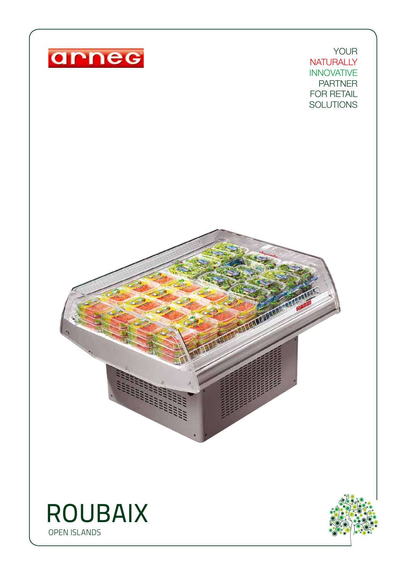